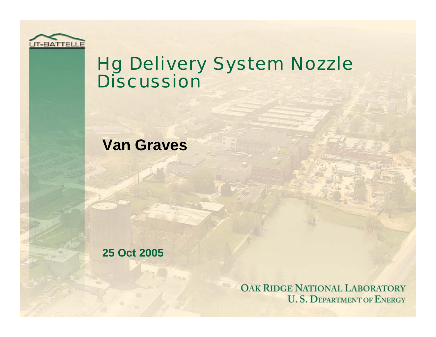

#### Hg Delivery System Nozzle Discussion

#### **Van Graves**

**25 Oct 2005**

OAK RIDGE NATIONAL LABORATORY **U.S. DEPARTMENT OF ENERGY**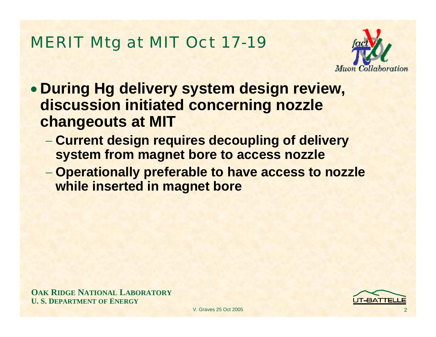#### MERIT Mtg at MIT Oct 17-19



- **During Hg delivery system design review, discussion initiated concerning nozzle changeouts at MIT**
	- **Current design requires decoupling of delivery system from magnet bore to access nozzle**
	- **Operationally preferable to have access to nozzle while inserted in magnet bore**

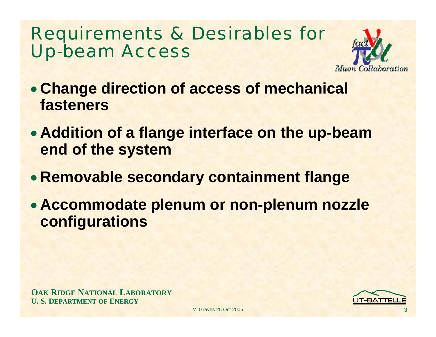## Requirements & Desirables for Up-beam Access



- **Change direction of access of mechanical fasteners**
- **Addition of a flange interface on the up-beam end of the system**
- **Removable secondary containment flange**
- **Accommodate plenum or non-plenum nozzle configurations**

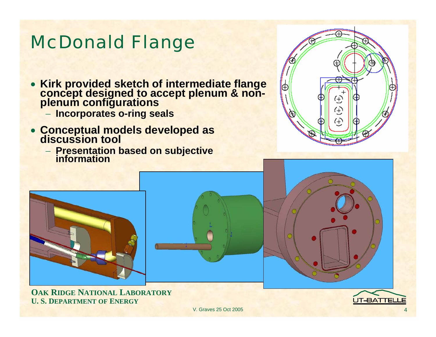#### McDonald Flange

- **Kirk provided sketch of intermediate flange concept designed to accept plenum & non- plenum configurations**
	- − **Incorporates o-ring seals**
- **Conceptual models developed as discussion tool**
	- − **Presentation based on subjective information**





**OAK RIDGE NATIONAL LABORATORY U. S. DEPARTMENT OF ENERGY**



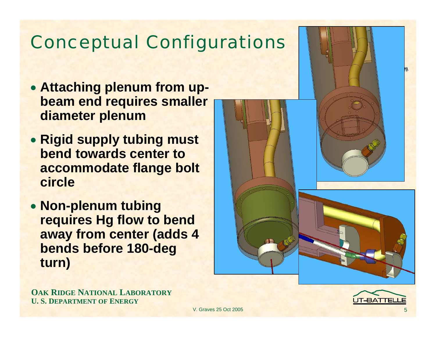## Conceptual Configurations

- **Attaching plenum from upbeam end requires smaller diameter plenum**
- **Rigid supply tubing must bend towards center to accommodate flange bolt circle**
- **Non-plenum tubing requires Hg flow to bend away from center (adds 4 bends before 180-deg turn)**



**OAK RIDGE NATIONAL LABORATORY U. S. DEPARTMENT OF ENERGY**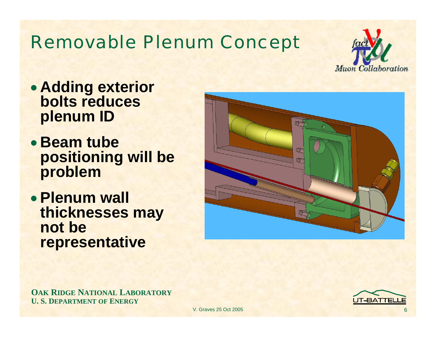## Removable Plenum Concept



- **Adding exterior bolts reduces plenum ID**
- **Beam tube positioning will be problem**
- **Plenum wall thicknesses may not be representative**



**OAK RIDGE NATIONAL LABORATORY U. S. DEPARTMENT OF ENERGY**

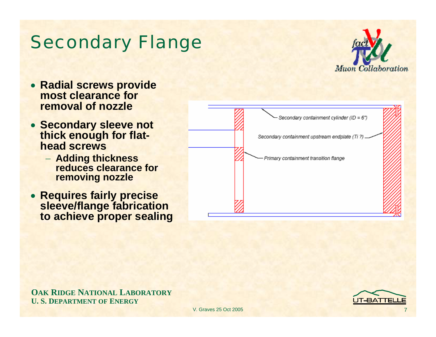



7

IT-BATTEL





- **Radial screws provide most clearance for removal of nozzle**
- **Secondary sleeve not thick enough for flathead screws**
	- − **Adding thickness reduces clearance for removing nozzle**
- **Requires fairly precise sleeve/flange fabrication to achieve proper sealing**